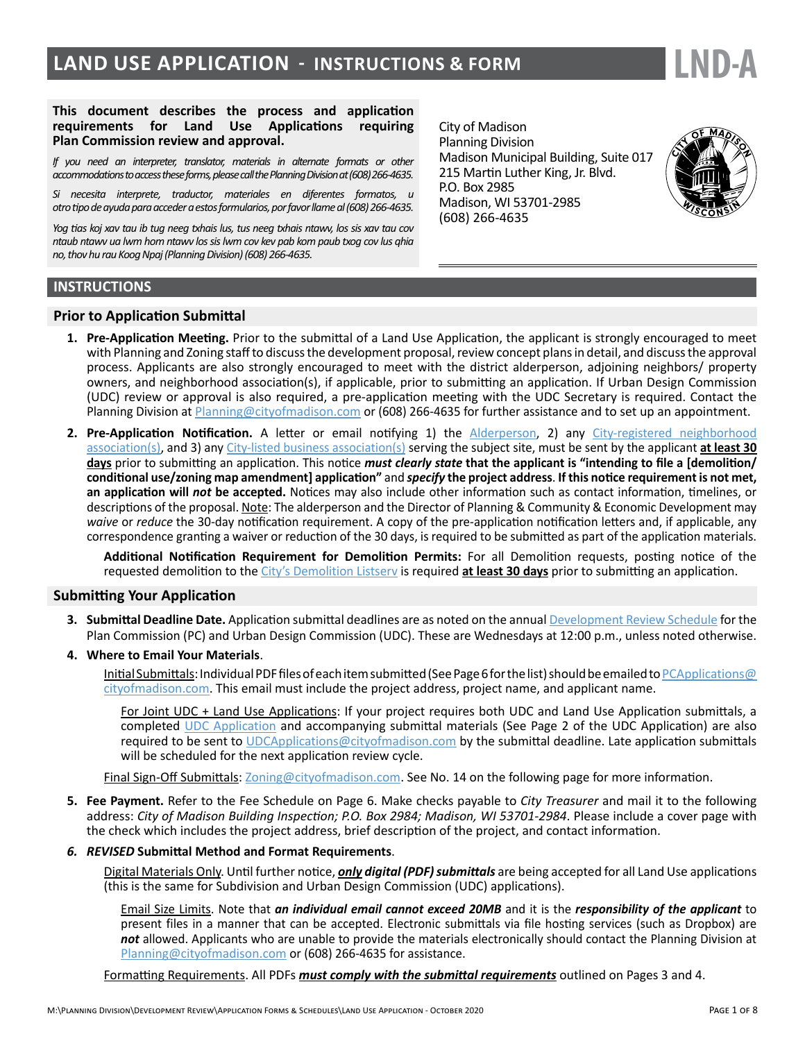# **LAND USE APPLICATION - INSTRUCTIONS & FORM**



#### **This document describes the process and application requirements for Land Use Applications requiring Plan Commission review and approval.**

*If you need an interpreter, translator, materials in alternate formats or other accommodations to access these forms, please call the Planning Division at (608) 266-4635.* 

*Si necesita interprete, traductor, materiales en diferentes formatos, u otro tipo de ayuda para acceder a estos formularios, por favor llame al (608) 266-4635.*

*Yog tias koj xav tau ib tug neeg txhais lus, tus neeg txhais ntawv, los sis xav tau cov ntaub ntawv ua lwm hom ntawv los sis lwm cov kev pab kom paub txog cov lus qhia no, thov hu rau Koog Npaj (Planning Division) (608) 266-4635.*

City of Madison Planning Division Madison Municipal Building, Suite 017 215 Martin Luther King, Jr. Blvd. P.O. Box 2985 Madison, WI 53701-2985 (608) 266-4635



#### **INSTRUCTIONS**

#### **Prior to Application Submittal**

- **1. Pre-Application Meeting.** Prior to the submittal of a Land Use Application, the applicant is strongly encouraged to meet with Planning and Zoning staff to discuss the development proposal, review concept plans in detail, and discuss the approval process. Applicants are also strongly encouraged to meet with the district alderperson, adjoining neighbors/ property owners, and neighborhood association(s), if applicable, prior to submitting an application. If Urban Design Commission (UDC) review or approval is also required, a pre-application meeting with the UDC Secretary is required. Contact the Planning Division at [Planning@cityofmadison.com](mailto:Planning%40cityofmadison.com?subject=) or (608) 266-4635 for further assistance and to set up an appointment.
- **2. Pre-Application Notification.** A letter or email notifying 1) the [Alderperson](http://www.cityofmadison.com/Council/councilMembers/map.cfm), 2) any [City-registered neighborhood](https://www.cityofmadison.com/dpced/planning/documents/Neighborhood_Associations.pdf)  [association\(s\)](https://www.cityofmadison.com/dpced/planning/documents/Neighborhood_Associations.pdf), and 3) any [City-listed business association\(s\)](https://www.cityofmadison.com/dpced/economicdevelopment/neighborhoodbusinessassociations.cfm) serving the subject site, must be sent by the applicant **at least 30 days** prior to submitting an application. This notice *must clearly state* **that the applicant is "intending to file a [demolition/ conditional use/zoning map amendment] application"** and *specify* **the project address**. **If this notice requirement is not met, an application will** *not* **be accepted.** Notices may also include other information such as contact information, timelines, or descriptions of the proposal. Note: The alderperson and the Director of Planning & Community & Economic Development may *waive* or *reduce* the 30-day notification requirement. A copy of the pre-application notification letters and, if applicable, any correspondence granting a waiver or reduction of the 30 days, is required to be submitted as part of the application materials.

**Additional Notification Requirement for Demolition Permits:** For all Demolition requests, posting notice of the requested demolition to the [City's Demolition Listserv](https://www.cityofmadison.com/developmentCenter/demolitionNotification/notificationForm.cfm) is required **at least 30 days** prior to submitting an application.

#### **Submitting Your Application**

- **3. Submittal Deadline Date.** Application submittal deadlines are as noted on the annual [Development Review Schedule](https://www.cityofmadison.com/dpced/planning/documents/Joint_UDC_Plan_Commission_Schedule.pdf) for the Plan Commission (PC) and Urban Design Commission (UDC). These are Wednesdays at 12:00 p.m., unless noted otherwise.
- **4. Where to Email Your Materials**.

Initial Submittals: Individual PDF files of each item submitted (See Page 6 for the list) should be emailed to [PCApplications@](mailto:pcapplications%40cityofmadison.com?subject=) [cityofmadison.com](mailto:pcapplications%40cityofmadison.com?subject=). This email must include the project address, project name, and applicant name.

For Joint UDC + Land Use Applications: If your project requires both UDC and Land Use Application submittals, a completed [UDC Application](https://www.cityofmadison.com/dpced/planning/documents/UDCApp.pdf) and accompanying submittal materials (See Page 2 of the UDC Application) are also required to be sent to [UDCApplications@cityofmadison.com](mailto:UDCapplications%40cityofmadison.com?subject=) by the submittal deadline. Late application submittals will be scheduled for the next application review cycle.

Final Sign-Off Submittals: [Zoning@cityofmadison.com.](mailto:zoning%40cityofmadison.com?subject=) See No. 14 on the following page for more information.

**5. Fee Payment.** Refer to the Fee Schedule on Page 6. Make checks payable to *City Treasurer* and mail it to the following address: *City of Madison Building Inspection; P.O. Box 2984; Madison, WI 53701-2984*. Please include a cover page with the check which includes the project address, brief description of the project, and contact information.

#### *6. REVISED* **Submittal Method and Format Requirements**.

Digital Materials Only. Until further notice, *only digital (PDF) submittals* are being accepted for all Land Use applications (this is the same for Subdivision and Urban Design Commission (UDC) applications).

Email Size Limits. Note that *an individual email cannot exceed 20MB* and it is the *responsibility of the applicant* to present files in a manner that can be accepted. Electronic submittals via file hosting services (such as Dropbox) are *not* allowed. Applicants who are unable to provide the materials electronically should contact the Planning Division at [Planning@cityofmadison.com](mailto:Planning%40cityofmadison.com?subject=) or (608) 266-4635 for assistance.

Formatting Requirements. All PDFs *must comply with the submittal requirements* outlined on Pages 3 and 4.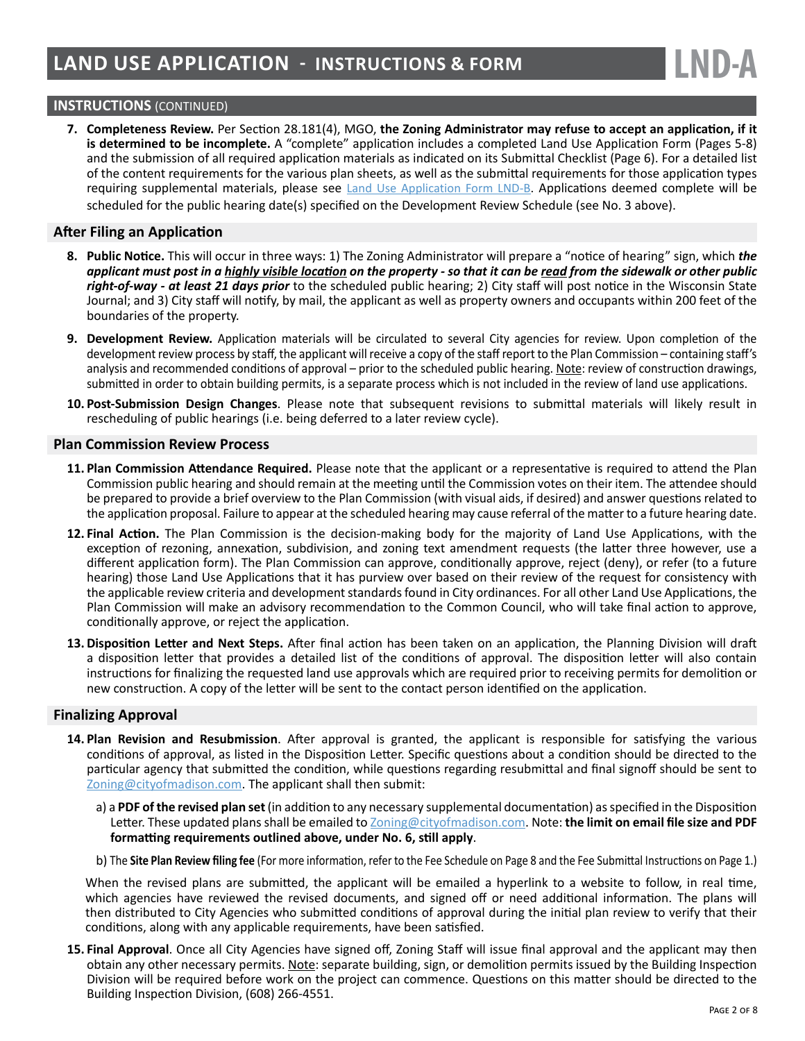## **INSTRUCTIONS** (CONTINUED)

**7. Completeness Review.** Per Section 28.181(4), MGO, **the Zoning Administrator may refuse to accept an application, if it is determined to be incomplete.** A "complete" application includes a completed Land Use Application Form (Pages 5-8) and the submission of all required application materials as indicated on its Submittal Checklist (Page 6). For a detailed list of the content requirements for the various plan sheets, as well as the submittal requirements for those application types requiring supplemental materials, please see [Land Use Application Form LND-B.](https://www.cityofmadison.com/dpced/bi/documents/LUAChecklist.pdf) Applications deemed complete will be scheduled for the public hearing date(s) specified on the Development Review Schedule (see No. 3 above).

#### **After Filing an Application**

- **8. Public Notice.** This will occur in three ways: 1) The Zoning Administrator will prepare a "notice of hearing" sign, which *the applicant must post in a highly visible location on the property - so that it can be read from the sidewalk or other public right-of-way - at least 21 days prior* to the scheduled public hearing; 2) City staff will post notice in the Wisconsin State Journal; and 3) City staff will notify, by mail, the applicant as well as property owners and occupants within 200 feet of the boundaries of the property.
- **9. Development Review.** Application materials will be circulated to several City agencies for review. Upon completion of the development review process by staff, the applicant will receive a copy of the staff report to the Plan Commission – containing staff's analysis and recommended conditions of approval – prior to the scheduled public hearing. Note: review of construction drawings, submitted in order to obtain building permits, is a separate process which is not included in the review of land use applications.
- **10. Post-Submission Design Changes**. Please note that subsequent revisions to submittal materials will likely result in rescheduling of public hearings (i.e. being deferred to a later review cycle).

#### **Plan Commission Review Process**

- **11. Plan Commission Attendance Required.** Please note that the applicant or a representative is required to attend the Plan Commission public hearing and should remain at the meeting until the Commission votes on their item. The attendee should be prepared to provide a brief overview to the Plan Commission (with visual aids, if desired) and answer questions related to the application proposal. Failure to appear at the scheduled hearing may cause referral of the matter to a future hearing date.
- **12. Final Action.** The Plan Commission is the decision-making body for the majority of Land Use Applications, with the exception of rezoning, annexation, subdivision, and zoning text amendment requests (the latter three however, use a different application form). The Plan Commission can approve, conditionally approve, reject (deny), or refer (to a future hearing) those Land Use Applications that it has purview over based on their review of the request for consistency with the applicable review criteria and development standards found in City ordinances. For all other Land Use Applications, the Plan Commission will make an advisory recommendation to the Common Council, who will take final action to approve, conditionally approve, or reject the application.
- **13. Disposition Letter and Next Steps.** After final action has been taken on an application, the Planning Division will draft a disposition letter that provides a detailed list of the conditions of approval. The disposition letter will also contain instructions for finalizing the requested land use approvals which are required prior to receiving permits for demolition or new construction. A copy of the letter will be sent to the contact person identified on the application.

#### **Finalizing Approval**

- **14. Plan Revision and Resubmission**. After approval is granted, the applicant is responsible for satisfying the various conditions of approval, as listed in the Disposition Letter. Specific questions about a condition should be directed to the particular agency that submitted the condition, while questions regarding resubmittal and final signoff should be sent to [Zoning@cityofmadison.com](mailto:zoning%40cityofmadison.com?subject=). The applicant shall then submit:
	- a) a **PDF of the revised plan set** (in addition to any necessary supplemental documentation) as specified in the Disposition Letter. These updated plans shall be emailed to [Zoning@cityofmadison.com.](mailto:zoning%40cityofmadison.com?subject=) Note: **the limit on email file size and PDF formatting requirements outlined above, under No. 6, still apply**.
	- b) The **Site Plan Review filing fee** (For more information, refer to the Fee Schedule on Page 8 and the Fee Submittal Instructions on Page 1.)

When the revised plans are submitted, the applicant will be emailed a hyperlink to a website to follow, in real time, which agencies have reviewed the revised documents, and signed off or need additional information. The plans will then distributed to City Agencies who submitted conditions of approval during the initial plan review to verify that their conditions, along with any applicable requirements, have been satisfied.

**15. Final Approval**. Once all City Agencies have signed off, Zoning Staff will issue final approval and the applicant may then obtain any other necessary permits. Note: separate building, sign, or demolition permits issued by the Building Inspection Division will be required before work on the project can commence. Questions on this matter should be directed to the Building Inspection Division, (608) 266-4551.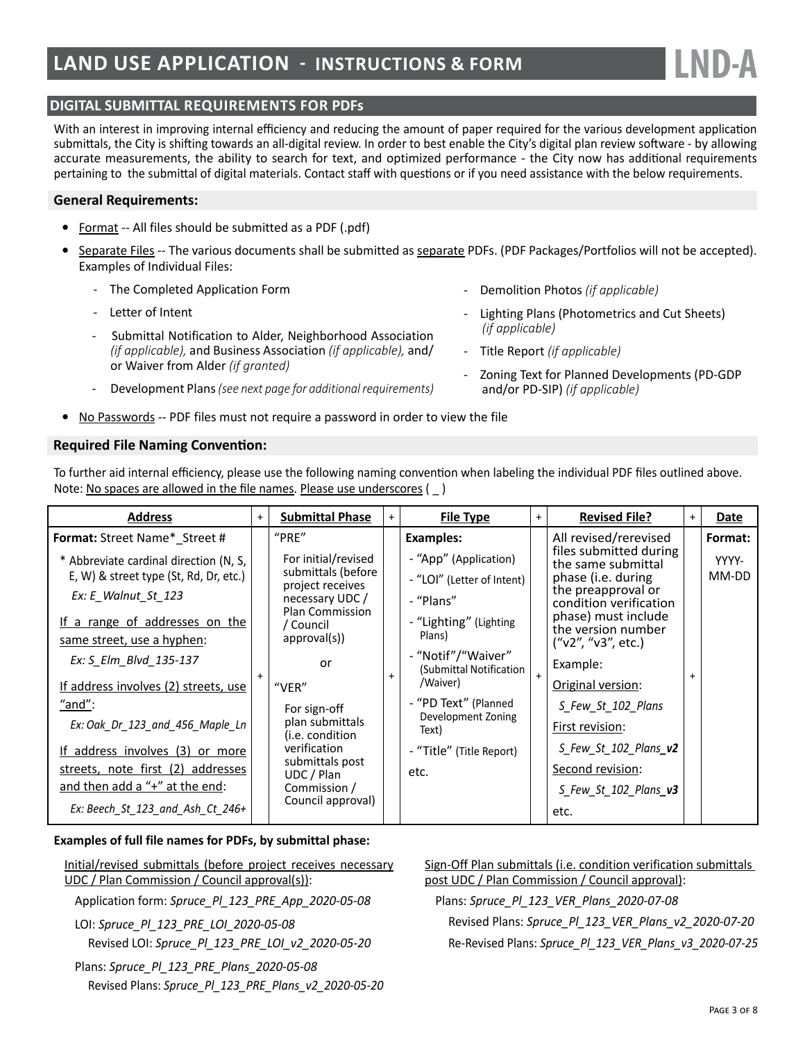# **DIGITAL SUBMITTAL REQUIREMENTS FOR PDFs**

With an interest in improving internal efficiency and reducing the amount of paper required for the various development application submittals, the City is shifting towards an all-digital review. In order to best enable the City's digital plan review software - by allowing accurate measurements, the ability to search for text, and optimized performance - the City now has additional requirements pertaining to the submittal of digital materials. Contact staff with questions or if you need assistance with the below requirements.

#### **General Requirements:**

- **•** Format -- All files should be submitted as a PDF (.pdf)
- **•** Separate Files -- The various documents shall be submitted as separate PDFs. (PDF Packages/Portfolios will not be accepted). Examples of Individual Files:
	- The Completed Application Form
	- Letter of Intent
	- Submittal Notification to Alder, Neighborhood Association *(if applicable),* and Business Association *(if applicable),* and/ or Waiver from Alder *(if granted)*
	- Development Plans *(see next page for additional requirements)*
- **•** No Passwords -- PDF files must not require a password in order to view the file

#### **Required File Naming Convention:**

To further aid internal efficiency, please use the following naming convention when labeling the individual PDF files outlined above. Note: No spaces are allowed in the file names. Please use underscores ( \_ )

| <b>Address</b>                                                                   | $+$ | <b>Submittal Phase</b>                    | $+$ | <b>File Type</b>                              | $+$ | <b>Revised File?</b>                            | $+$ | Date           |
|----------------------------------------------------------------------------------|-----|-------------------------------------------|-----|-----------------------------------------------|-----|-------------------------------------------------|-----|----------------|
| Format: Street Name* Street #                                                    |     | "PRE"                                     |     | Examples:                                     |     | All revised/rerevised<br>files submitted during |     | Format:        |
| * Abbreviate cardinal direction (N, S,<br>E, W) & street type (St, Rd, Dr, etc.) |     | For initial/revised<br>submittals (before |     | - "App" (Application)                         |     | the same submittal                              |     | YYYY-<br>MM-DD |
|                                                                                  |     | project receives                          |     | - "LOI" (Letter of Intent)                    |     | phase (i.e. during<br>the preapproval or        |     |                |
| Ex: E Walnut St 123                                                              |     | necessary UDC/<br><b>Plan Commission</b>  |     | - "Plans"                                     |     | condition verification                          |     |                |
| If a range of addresses on the                                                   |     | / Council                                 |     | - "Lighting" (Lighting                        |     | phase) must include<br>the version number       |     |                |
| same street, use a hyphen:                                                       |     | approvals()                               |     | Plans)                                        |     | ("v2", "v3", etc.)                              |     |                |
| Ex: S Elm Blvd 135-137                                                           |     | or                                        |     | - "Notif"/"Waiver"<br>(Submittal Notification |     | Example:                                        |     |                |
| If address involves (2) streets, use                                             |     | "VER"                                     |     | /Waiver)                                      |     | Original version:                               |     |                |
| "and":                                                                           |     | For sign-off                              |     | - "PD Text" (Planned<br>Development Zoning    |     | S Few St 102 Plans                              |     |                |
| Ex: Oak Dr 123 and 456 Maple Ln                                                  |     | plan submittals<br>(i.e. condition        |     | Text)                                         |     | First revision:                                 |     |                |
| <u>If address involves (3) or more</u>                                           |     | verification                              |     | - "Title" (Title Report)                      |     | S Few St 102 Plans v2                           |     |                |
| streets, note first (2) addresses                                                |     | submittals post<br>UDC / Plan             |     | etc.                                          |     | Second revision:                                |     |                |
| and then add a "+" at the end:                                                   |     | Commission /                              |     |                                               |     | S Few St 102 Plans_v3                           |     |                |
| Ex: Beech St 123 and Ash Ct 246+                                                 |     | Council approval)                         |     |                                               |     | etc.                                            |     |                |

#### **Examples of full file names for PDFs, by submittal phase:**

Initial/revised submittals (before project receives necessary UDC / Plan Commission / Council approval(s)):

Application form: *Spruce\_Pl\_123\_PRE\_App\_2020-05-08*

LOI: *Spruce\_Pl\_123\_PRE\_LOI\_2020-05-08* Revised LOI: *Spruce\_Pl\_123\_PRE\_LOI\_v2\_2020-05-20*

Plans: *Spruce\_Pl\_123\_PRE\_Plans\_2020-05-08* Revised Plans: *Spruce\_Pl\_123\_PRE\_Plans\_v2\_2020-05-20* Sign-Off Plan submittals (i.e. condition verification submittals post UDC / Plan Commission / Council approval):

Plans: *Spruce\_Pl\_123\_VER\_Plans\_2020-07-08*

- Demolition Photos *(if applicable)*

*(if applicable)*

- Title Report *(if applicable)*

and/or PD-SIP) *(if applicable)*

Lighting Plans (Photometrics and Cut Sheets)

**LND-A**

- Zoning Text for Planned Developments (PD-GDP

Revised Plans: *Spruce\_Pl\_123\_VER\_Plans\_v2\_2020-07-20* Re-Revised Plans: *Spruce\_Pl\_123\_VER\_Plans\_v3\_2020-07-25*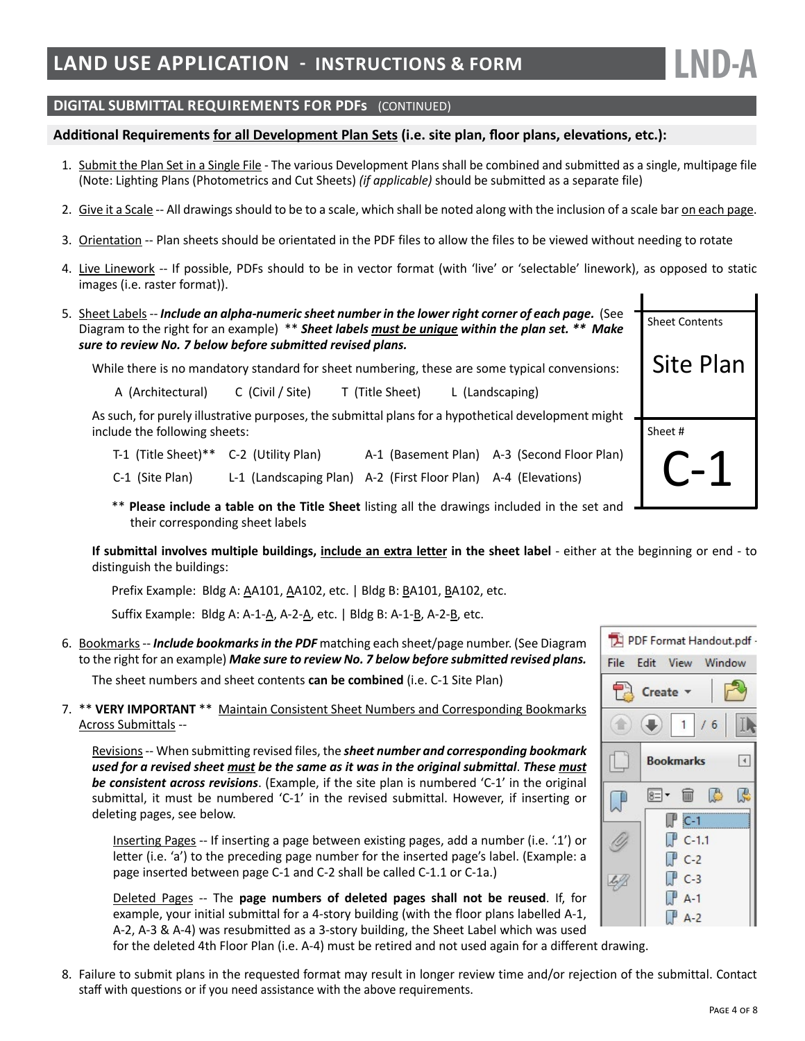**DIGITAL SUBMITTAL REQUIREMENTS FOR PDFs** (CONTINUED)

#### **Additional Requirements for all Development Plan Sets (i.e. site plan, floor plans, elevations, etc.):**

- 1. Submit the Plan Set in a Single File The various Development Plans shall be combined and submitted as a single, multipage file (Note: Lighting Plans (Photometrics and Cut Sheets) *(if applicable)* should be submitted as a separate file)
- 2. Give it a Scale -- All drawings should to be to a scale, which shall be noted along with the inclusion of a scale bar on each page.
- 3. Orientation -- Plan sheets should be orientated in the PDF files to allow the files to be viewed without needing to rotate
- 4. Live Linework -- If possible, PDFs should to be in vector format (with 'live' or 'selectable' linework), as opposed to static images (i.e. raster format)).
- 5. Sheet Labels -- *Include an alpha-numeric sheet number in the lower right corner of each page.* (See Diagram to the right for an example) \*\* *Sheet labels must be unique within the plan set. \*\* Make sure to review No. 7 below before submitted revised plans.*

While there is no mandatory standard for sheet numbering, these are some typical convensions:

A (Architectural) C (Civil / Site) T (Title Sheet) L (Landscaping)

As such, for purely illustrative purposes, the submittal plans for a hypothetical development might include the following sheets:

- T-1 (Title Sheet)\*\* C-2 (Utility Plan) A-1 (Basement Plan) A-3 (Second Floor Plan)
- C-1 (Site Plan) L-1 (Landscaping Plan) A-2 (First Floor Plan) A-4 (Elevations)
- \*\* **Please include a table on the Title Sheet** listing all the drawings included in the set and their corresponding sheet labels

**If submittal involves multiple buildings, include an extra letter in the sheet label** - either at the beginning or end - to distinguish the buildings:

Prefix Example: Bldg A: AA101, AA102, etc. | Bldg B: BA101, BA102, etc.

Suffix Example: Bldg A: A-1-A, A-2-A, etc. | Bldg B: A-1-B, A-2-B, etc.

6. Bookmarks -- *Include bookmarks in the PDF* matching each sheet/page number. (See Diagram to the right for an example) *Make sure to review No. 7 below before submitted revised plans.*

The sheet numbers and sheet contents **can be combined** (i.e. C-1 Site Plan)

7. \*\* **VERY IMPORTANT** \*\* Maintain Consistent Sheet Numbers and Corresponding Bookmarks Across Submittals --

Revisions -- When submitting revised files, the *sheet number and corresponding bookmark used for a revised sheet must be the same as it was in the original submittal*. *These must be consistent across revisions*. (Example, if the site plan is numbered 'C-1' in the original submittal, it must be numbered 'C-1' in the revised submittal. However, if inserting or deleting pages, see below.

Inserting Pages -- If inserting a page between existing pages, add a number (i.e. '.1') or letter (i.e. 'a') to the preceding page number for the inserted page's label. (Example: a page inserted between page C-1 and C-2 shall be called C-1.1 or C-1a.)

Deleted Pages -- The **page numbers of deleted pages shall not be reused**. If, for example, your initial submittal for a 4-story building (with the floor plans labelled A-1, A-2, A-3 & A-4) was resubmitted as a 3-story building, the Sheet Label which was used

for the deleted 4th Floor Plan (i.e. A-4) must be retired and not used again for a different drawing.

8. Failure to submit plans in the requested format may result in longer review time and/or rejection of the submittal. Contact staff with questions or if you need assistance with the above requirements.





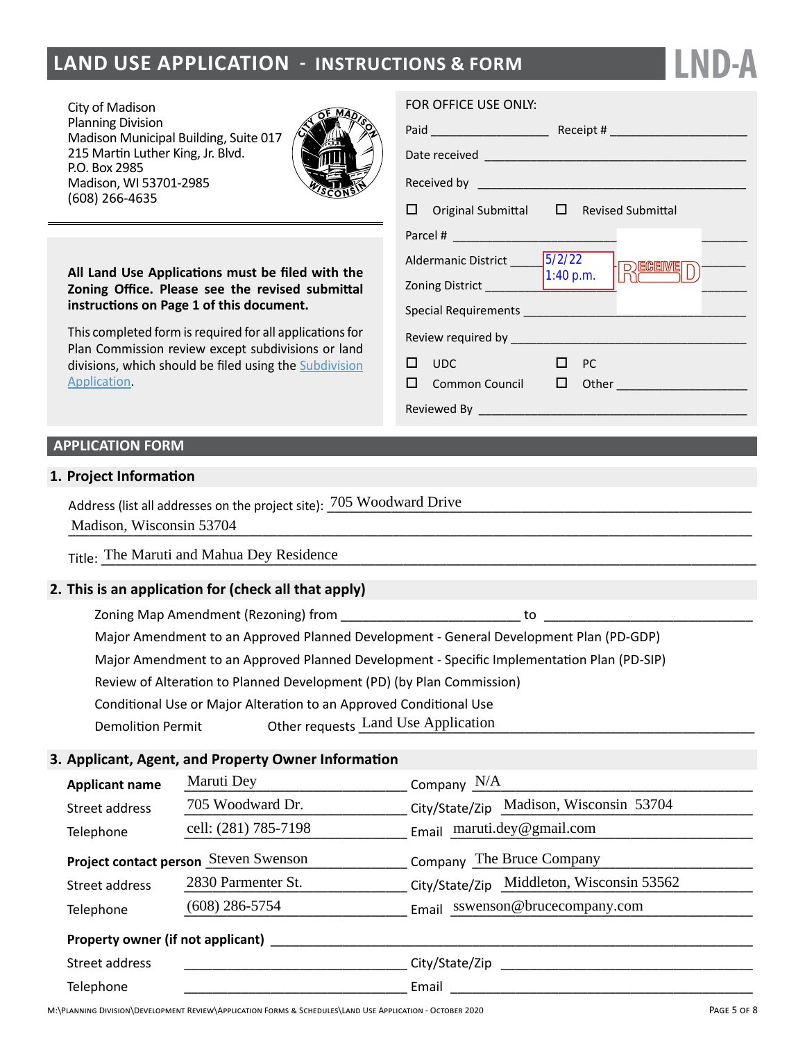# **LAND USE APPLICATION - INSTRUCTIONS & FORM**

City of Madison Planning Division Madison Municipal Building, Suite 017 215 Martin Luther King, Jr. Blvd. P.O. Box 2985 Madison, WI 53701-2985 (608) 266-4635



**All Land Use Applications must be filed with the Zoning Office. Please see the revised submittal instructions on Page 1 of this document.**

This completed form is required for all applications for Plan Commission review except subdivisions or land divisions, which should be filed using the [Subdivision](http://www.cityofmadison.com/development-services-center/documents/SubdivisionApplication.pdf) [Application.](http://www.cityofmadison.com/development-services-center/documents/SubdivisionApplication.pdf)

#### FOR OFFICE USE ONLY:

| Paid __________________________                                                                                                                                                                                                |                                                    |  |  |  |  |
|--------------------------------------------------------------------------------------------------------------------------------------------------------------------------------------------------------------------------------|----------------------------------------------------|--|--|--|--|
|                                                                                                                                                                                                                                |                                                    |  |  |  |  |
|                                                                                                                                                                                                                                |                                                    |  |  |  |  |
|                                                                                                                                                                                                                                | $\Box$ Original Submittal $\Box$ Revised Submittal |  |  |  |  |
|                                                                                                                                                                                                                                |                                                    |  |  |  |  |
| Aldermanic District ______ 5/2/22<br>Zoning District $\begin{bmatrix} 1:40 \text{ p.m.} \end{bmatrix}$                                                                                                                         | RECEIVED                                           |  |  |  |  |
| Special Requirements and the contract of the contract of the contract of the contract of the contract of the contract of the contract of the contract of the contract of the contract of the contract of the contract of the c |                                                    |  |  |  |  |
|                                                                                                                                                                                                                                |                                                    |  |  |  |  |
| $\square$ $\square$                                                                                                                                                                                                            | PC<br>$\Box$ Common Council $\Box$ Other           |  |  |  |  |
|                                                                                                                                                                                                                                |                                                    |  |  |  |  |

**LND-A**

# **APPLICATION FORM**

#### **1. Project Information**

Address (list all addresses on the project site):  $\frac{705 \text{ Woodward Drive}}{2000 \text{Word Drive}}$ Madison, Wisconsin 53704

## **2. This is an application for (check all that apply)**

- $\Box$  Zoning Map Amendment (Rezoning) from
- Major Amendment to an Approved Planned Development General Development Plan (PD-GDP)
- Major Amendment to an Approved Planned Development Specific Implementation Plan (PD-SIP)
- Review of Alteration to Planned Development (PD) (by Plan Commission)
- Conditional Use or Major Alteration to an Approved Conditional Use
- Demolition Permit Other requests \_\_\_\_\_\_\_\_\_\_\_\_\_\_\_\_\_\_\_\_\_\_\_\_\_\_\_\_\_\_\_\_\_\_\_\_\_\_\_\_\_\_\_\_\_\_\_\_\_\_\_\_\_\_\_ Land Use Application

## **3. Applicant, Agent, and Property Owner Information**

| Madison, Wisconsin 53704                                           |                                                                                            |                                           |  |  |  |  |  |
|--------------------------------------------------------------------|--------------------------------------------------------------------------------------------|-------------------------------------------|--|--|--|--|--|
| Title: The Maruti and Mahua Dey Residence                          |                                                                                            |                                           |  |  |  |  |  |
|                                                                    | This is an application for (check all that apply)                                          |                                           |  |  |  |  |  |
| 0                                                                  |                                                                                            | to                                        |  |  |  |  |  |
| O                                                                  | Major Amendment to an Approved Planned Development - General Development Plan (PD-GDP)     |                                           |  |  |  |  |  |
| O                                                                  | Major Amendment to an Approved Planned Development - Specific Implementation Plan (PD-SIP) |                                           |  |  |  |  |  |
| O                                                                  | Review of Alteration to Planned Development (PD) (by Plan Commission)                      |                                           |  |  |  |  |  |
| V                                                                  | Conditional Use or Major Alteration to an Approved Conditional Use                         |                                           |  |  |  |  |  |
| <b>Demolition Permit</b><br>□                                      | $\blacksquare$ Other requests Land Use Application                                         |                                           |  |  |  |  |  |
|                                                                    | Applicant, Agent, and Property Owner Information                                           |                                           |  |  |  |  |  |
| <b>Applicant name</b>                                              | Maruti Dey                                                                                 | $\sim$ Company $N/A$                      |  |  |  |  |  |
| Street address                                                     | 705 Woodward Dr.                                                                           | City/State/Zip Madison, Wisconsin 53704   |  |  |  |  |  |
| cell: (281) 785-7198<br>Telephone                                  |                                                                                            | Email maruti.dey@gmail.com                |  |  |  |  |  |
| Company The Bruce Company<br>Project contact person Steven Swenson |                                                                                            |                                           |  |  |  |  |  |
| 2830 Parmenter St.<br>Street address                               |                                                                                            | City/State/Zip Middleton, Wisconsin 53562 |  |  |  |  |  |
| Telephone                                                          | $(608)$ 286-5754                                                                           | Email sswenson@brucecompany.com           |  |  |  |  |  |
|                                                                    |                                                                                            |                                           |  |  |  |  |  |
| Street address                                                     |                                                                                            |                                           |  |  |  |  |  |
| Telephone                                                          |                                                                                            | Email                                     |  |  |  |  |  |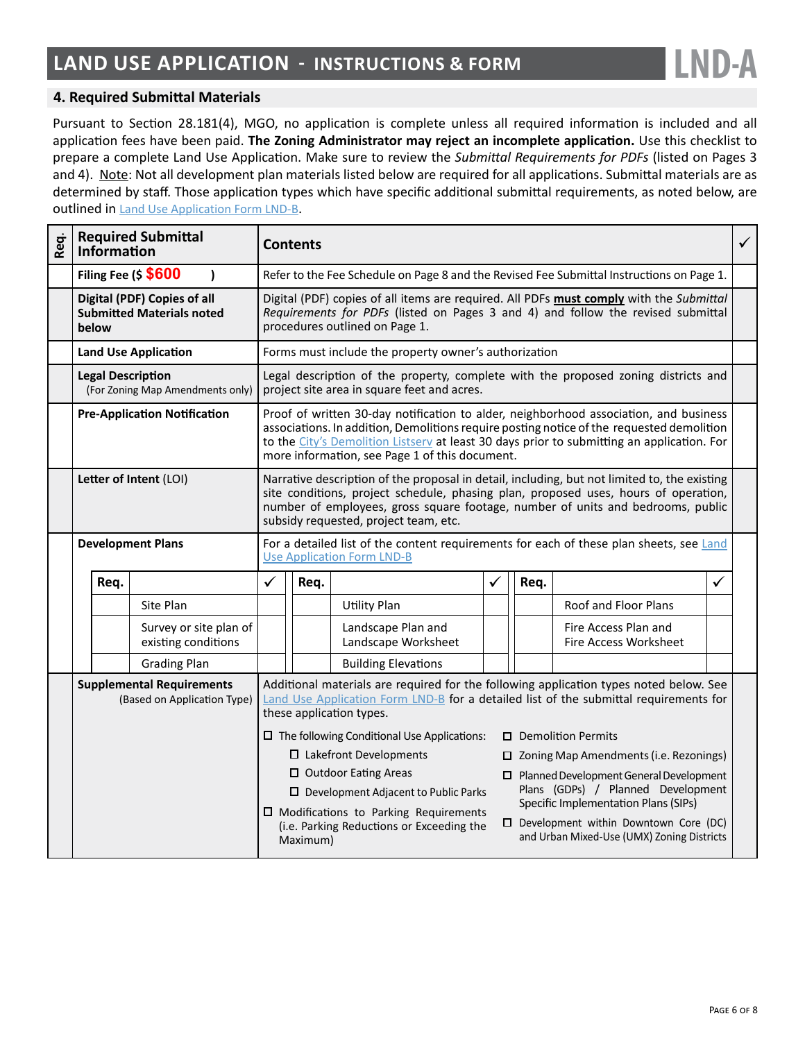

## **4. Required Submittal Materials**

Pursuant to Section 28.181(4), MGO, no application is complete unless all required information is included and all application fees have been paid. **The Zoning Administrator may reject an incomplete application.** Use this checklist to prepare a complete Land Use Application. Make sure to review the *Submittal Requirements for PDFs* (listed on Pages 3 and 4). Note: Not all development plan materials listed below are required for all applications. Submittal materials are as determined by staff. Those application types which have specific additional submittal requirements, as noted below, are outlined in [Land Use Application Form LND-B](https://www.cityofmadison.com/dpced/bi/documents/LUAChecklist.pdf).

| Req. | Information                                                                                                                                                                                                                                                                                                                               | <b>Required Submittal</b>                                                                        | <b>Contents</b>                                                                                                                                                                                                                                                                                                                    |                                                                                                                                   |                                                       |                                                                                               |                                                                            | $\checkmark$                                         |              |  |
|------|-------------------------------------------------------------------------------------------------------------------------------------------------------------------------------------------------------------------------------------------------------------------------------------------------------------------------------------------|--------------------------------------------------------------------------------------------------|------------------------------------------------------------------------------------------------------------------------------------------------------------------------------------------------------------------------------------------------------------------------------------------------------------------------------------|-----------------------------------------------------------------------------------------------------------------------------------|-------------------------------------------------------|-----------------------------------------------------------------------------------------------|----------------------------------------------------------------------------|------------------------------------------------------|--------------|--|
|      |                                                                                                                                                                                                                                                                                                                                           | Filing Fee (\$ \$600                                                                             | Refer to the Fee Schedule on Page 8 and the Revised Fee Submittal Instructions on Page 1.                                                                                                                                                                                                                                          |                                                                                                                                   |                                                       |                                                                                               |                                                                            |                                                      |              |  |
|      | below                                                                                                                                                                                                                                                                                                                                     | Digital (PDF) Copies of all<br><b>Submitted Materials noted</b>                                  | Digital (PDF) copies of all items are required. All PDFs must comply with the Submittal<br>Requirements for PDFs (listed on Pages 3 and 4) and follow the revised submittal<br>procedures outlined on Page 1.                                                                                                                      |                                                                                                                                   |                                                       |                                                                                               |                                                                            |                                                      |              |  |
|      |                                                                                                                                                                                                                                                                                                                                           | <b>Land Use Application</b>                                                                      |                                                                                                                                                                                                                                                                                                                                    |                                                                                                                                   | Forms must include the property owner's authorization |                                                                                               |                                                                            |                                                      |              |  |
|      | <b>Legal Description</b><br>(For Zoning Map Amendments only)                                                                                                                                                                                                                                                                              |                                                                                                  |                                                                                                                                                                                                                                                                                                                                    | Legal description of the property, complete with the proposed zoning districts and<br>project site area in square feet and acres. |                                                       |                                                                                               |                                                                            |                                                      |              |  |
|      |                                                                                                                                                                                                                                                                                                                                           | <b>Pre-Application Notification</b>                                                              | Proof of written 30-day notification to alder, neighborhood association, and business<br>associations. In addition, Demolitions require posting notice of the requested demolition<br>to the City's Demolition Listsery at least 30 days prior to submitting an application. For<br>more information, see Page 1 of this document. |                                                                                                                                   |                                                       |                                                                                               |                                                                            |                                                      |              |  |
|      | Letter of Intent (LOI)<br>Narrative description of the proposal in detail, including, but not limited to, the existing<br>site conditions, project schedule, phasing plan, proposed uses, hours of operation,<br>number of employees, gross square footage, number of units and bedrooms, public<br>subsidy requested, project team, etc. |                                                                                                  |                                                                                                                                                                                                                                                                                                                                    |                                                                                                                                   |                                                       |                                                                                               |                                                                            |                                                      |              |  |
|      | <b>Development Plans</b>                                                                                                                                                                                                                                                                                                                  |                                                                                                  | For a detailed list of the content requirements for each of these plan sheets, see Land<br><b>Use Application Form LND-B</b>                                                                                                                                                                                                       |                                                                                                                                   |                                                       |                                                                                               |                                                                            |                                                      |              |  |
|      | Req.                                                                                                                                                                                                                                                                                                                                      |                                                                                                  | ✓                                                                                                                                                                                                                                                                                                                                  | Req.                                                                                                                              |                                                       | ✓                                                                                             | Req.                                                                       |                                                      | $\checkmark$ |  |
|      |                                                                                                                                                                                                                                                                                                                                           | Site Plan                                                                                        |                                                                                                                                                                                                                                                                                                                                    |                                                                                                                                   | <b>Utility Plan</b>                                   |                                                                                               |                                                                            | Roof and Floor Plans                                 |              |  |
|      |                                                                                                                                                                                                                                                                                                                                           | Survey or site plan of<br>existing conditions                                                    |                                                                                                                                                                                                                                                                                                                                    |                                                                                                                                   | Landscape Plan and<br>Landscape Worksheet             |                                                                                               |                                                                            | Fire Access Plan and<br><b>Fire Access Worksheet</b> |              |  |
|      |                                                                                                                                                                                                                                                                                                                                           | <b>Grading Plan</b>                                                                              |                                                                                                                                                                                                                                                                                                                                    |                                                                                                                                   | <b>Building Elevations</b>                            |                                                                                               |                                                                            |                                                      |              |  |
|      | <b>Supplemental Requirements</b><br>(Based on Application Type)                                                                                                                                                                                                                                                                           |                                                                                                  | Additional materials are required for the following application types noted below. See<br>Land Use Application Form LND-B for a detailed list of the submittal requirements for<br>these application types.                                                                                                                        |                                                                                                                                   |                                                       |                                                                                               |                                                                            |                                                      |              |  |
|      |                                                                                                                                                                                                                                                                                                                                           |                                                                                                  | $\square$ The following Conditional Use Applications:<br>$\Box$ Demolition Permits                                                                                                                                                                                                                                                 |                                                                                                                                   |                                                       |                                                                                               |                                                                            |                                                      |              |  |
|      |                                                                                                                                                                                                                                                                                                                                           |                                                                                                  | $\square$ Lakefront Developments<br>$\Box$ Zoning Map Amendments (i.e. Rezonings)                                                                                                                                                                                                                                                  |                                                                                                                                   |                                                       |                                                                                               |                                                                            |                                                      |              |  |
|      |                                                                                                                                                                                                                                                                                                                                           |                                                                                                  | □ Outdoor Eating Areas<br>□ Planned Development General Development                                                                                                                                                                                                                                                                |                                                                                                                                   |                                                       |                                                                                               |                                                                            |                                                      |              |  |
|      |                                                                                                                                                                                                                                                                                                                                           |                                                                                                  | $\square$ Development Adjacent to Public Parks                                                                                                                                                                                                                                                                                     |                                                                                                                                   |                                                       |                                                                                               | Plans (GDPs) / Planned Development<br>Specific Implementation Plans (SIPs) |                                                      |              |  |
|      |                                                                                                                                                                                                                                                                                                                                           | □ Modifications to Parking Requirements<br>(i.e. Parking Reductions or Exceeding the<br>Maximum) |                                                                                                                                                                                                                                                                                                                                    |                                                                                                                                   |                                                       | $\square$ Development within Downtown Core (DC)<br>and Urban Mixed-Use (UMX) Zoning Districts |                                                                            |                                                      |              |  |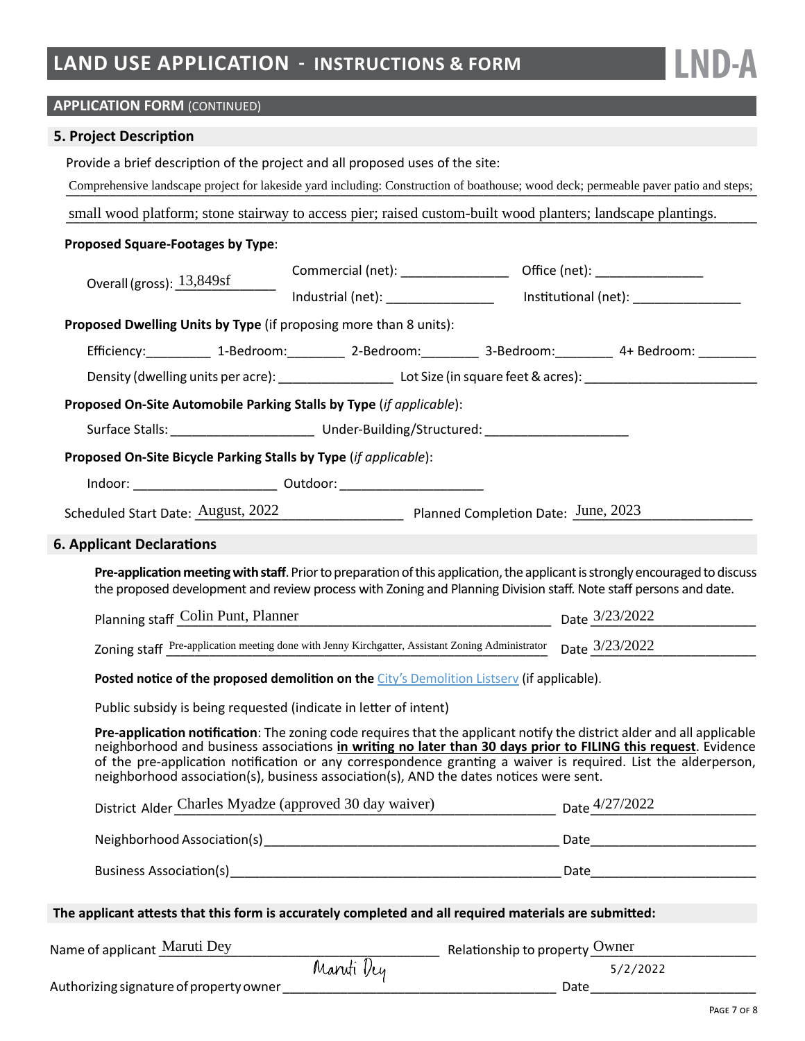**LND-A**

# **APPLICATION FORM (CONTINUED)**

# **5. Project Description**

|                                                                                                        | Provide a brief description of the project and all proposed uses of the site:<br>Comprehensive landscape project for lakeside yard including: Construction of boathouse; wood deck; permeable paver patio and steps;                                                                                                                                                                                                                                 |            |                                                                    |                                      |  |  |  |  |
|--------------------------------------------------------------------------------------------------------|------------------------------------------------------------------------------------------------------------------------------------------------------------------------------------------------------------------------------------------------------------------------------------------------------------------------------------------------------------------------------------------------------------------------------------------------------|------------|--------------------------------------------------------------------|--------------------------------------|--|--|--|--|
|                                                                                                        | small wood platform; stone stairway to access pier; raised custom-built wood planters; landscape plantings.                                                                                                                                                                                                                                                                                                                                          |            |                                                                    |                                      |  |  |  |  |
|                                                                                                        | Proposed Square-Footages by Type:                                                                                                                                                                                                                                                                                                                                                                                                                    |            |                                                                    |                                      |  |  |  |  |
|                                                                                                        |                                                                                                                                                                                                                                                                                                                                                                                                                                                      |            |                                                                    |                                      |  |  |  |  |
|                                                                                                        |                                                                                                                                                                                                                                                                                                                                                                                                                                                      |            |                                                                    | Institutional (net): _______________ |  |  |  |  |
|                                                                                                        | Proposed Dwelling Units by Type (if proposing more than 8 units):                                                                                                                                                                                                                                                                                                                                                                                    |            |                                                                    |                                      |  |  |  |  |
|                                                                                                        | Efficiency:____________ 1-Bedroom:___________ 2-Bedroom:__________ 3-Bedroom:__________ 4+ Bedroom: _________                                                                                                                                                                                                                                                                                                                                        |            |                                                                    |                                      |  |  |  |  |
|                                                                                                        |                                                                                                                                                                                                                                                                                                                                                                                                                                                      |            |                                                                    |                                      |  |  |  |  |
|                                                                                                        | Proposed On-Site Automobile Parking Stalls by Type (if applicable):                                                                                                                                                                                                                                                                                                                                                                                  |            |                                                                    |                                      |  |  |  |  |
|                                                                                                        |                                                                                                                                                                                                                                                                                                                                                                                                                                                      |            |                                                                    |                                      |  |  |  |  |
|                                                                                                        | Proposed On-Site Bicycle Parking Stalls by Type (if applicable):                                                                                                                                                                                                                                                                                                                                                                                     |            |                                                                    |                                      |  |  |  |  |
|                                                                                                        | Indoor: __________________________________ Outdoor: ____________________________                                                                                                                                                                                                                                                                                                                                                                     |            |                                                                    |                                      |  |  |  |  |
|                                                                                                        | Scheduled Start Date: August, 2022 Planned Completion Date: June, 2023                                                                                                                                                                                                                                                                                                                                                                               |            |                                                                    |                                      |  |  |  |  |
|                                                                                                        | <b>6. Applicant Declarations</b>                                                                                                                                                                                                                                                                                                                                                                                                                     |            |                                                                    |                                      |  |  |  |  |
| ◘                                                                                                      | Pre-application meeting with staff. Prior to preparation of this application, the applicant is strongly encouraged to discuss<br>the proposed development and review process with Zoning and Planning Division staff. Note staff persons and date.                                                                                                                                                                                                   |            |                                                                    |                                      |  |  |  |  |
|                                                                                                        | Planning staff Colin Punt, Planner<br>and Colin Punt, Planner<br>2/23/2022                                                                                                                                                                                                                                                                                                                                                                           |            |                                                                    |                                      |  |  |  |  |
|                                                                                                        | Zoning staff Pre-application meeting done with Jenny Kirchgatter, Assistant Zoning Administrator Date 3/23/2022                                                                                                                                                                                                                                                                                                                                      |            |                                                                    |                                      |  |  |  |  |
| □                                                                                                      | Posted notice of the proposed demolition on the City's Demolition Listsery (if applicable).                                                                                                                                                                                                                                                                                                                                                          |            |                                                                    |                                      |  |  |  |  |
| О                                                                                                      | Public subsidy is being requested (indicate in letter of intent)                                                                                                                                                                                                                                                                                                                                                                                     |            |                                                                    |                                      |  |  |  |  |
| О                                                                                                      | Pre-application notification: The zoning code requires that the applicant notify the district alder and all applicable<br>neighborhood and business associations in writing no later than 30 days prior to FILING this request. Evidence<br>of the pre-application notification or any correspondence granting a waiver is required. List the alderperson,<br>neighborhood association(s), business association(s), AND the dates notices were sent. |            |                                                                    |                                      |  |  |  |  |
|                                                                                                        | District Alder Charles Myadze (approved 30 day waiver) Date 4/27/2022                                                                                                                                                                                                                                                                                                                                                                                |            |                                                                    |                                      |  |  |  |  |
|                                                                                                        |                                                                                                                                                                                                                                                                                                                                                                                                                                                      |            |                                                                    |                                      |  |  |  |  |
|                                                                                                        |                                                                                                                                                                                                                                                                                                                                                                                                                                                      |            |                                                                    |                                      |  |  |  |  |
| The applicant attests that this form is accurately completed and all required materials are submitted: |                                                                                                                                                                                                                                                                                                                                                                                                                                                      |            |                                                                    |                                      |  |  |  |  |
|                                                                                                        | Name of applicant Maruti Dey                                                                                                                                                                                                                                                                                                                                                                                                                         |            | <b>EXECUTE:</b> Relationship to property $\overline{\text{Owner}}$ |                                      |  |  |  |  |
|                                                                                                        | Authorizing signature of property owner                                                                                                                                                                                                                                                                                                                                                                                                              | Manuti Dey |                                                                    | 5/2/2022                             |  |  |  |  |
|                                                                                                        |                                                                                                                                                                                                                                                                                                                                                                                                                                                      |            |                                                                    |                                      |  |  |  |  |